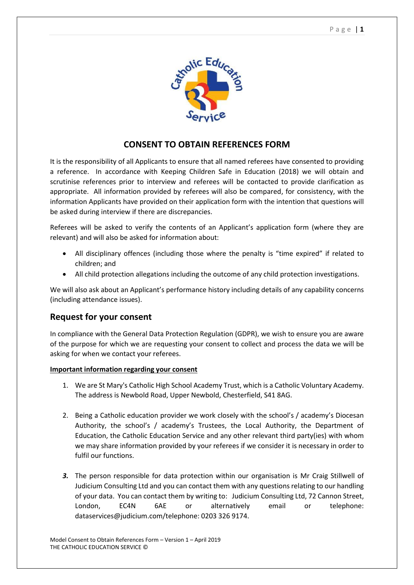

## **CONSENT TO OBTAIN REFERENCES FORM**

It is the responsibility of all Applicants to ensure that all named referees have consented to providing a reference. In accordance with Keeping Children Safe in Education (2018) we will obtain and scrutinise references prior to interview and referees will be contacted to provide clarification as appropriate. All information provided by referees will also be compared, for consistency, with the information Applicants have provided on their application form with the intention that questions will be asked during interview if there are discrepancies.

Referees will be asked to verify the contents of an Applicant's application form (where they are relevant) and will also be asked for information about:

- All disciplinary offences (including those where the penalty is "time expired" if related to children; and
- All child protection allegations including the outcome of any child protection investigations.

We will also ask about an Applicant's performance history including details of any capability concerns (including attendance issues).

## **Request for your consent**

In compliance with the General Data Protection Regulation (GDPR), we wish to ensure you are aware of the purpose for which we are requesting your consent to collect and process the data we will be asking for when we contact your referees.

## **Important information regarding your consent**

- 1. We are St Mary's Catholic High School Academy Trust, which is a Catholic Voluntary Academy. The address is Newbold Road, Upper Newbold, Chesterfield, S41 8AG.
- 2. Being a Catholic education provider we work closely with the school's / academy's Diocesan Authority, the school's / academy's Trustees, the Local Authority, the Department of Education, the Catholic Education Service and any other relevant third party(ies) with whom we may share information provided by your referees if we consider it is necessary in order to fulfil our functions.
- *3.* The person responsible for data protection within our organisation is Mr Craig Stillwell of Judicium Consulting Ltd and you can contact them with any questions relating to our handling of your data. You can contact them by writing to: Judicium Consulting Ltd, 72 Cannon Street, London, EC4N 6AE or alternatively email or telephone: dataservices@judicium.com/telephone: 0203 326 9174.